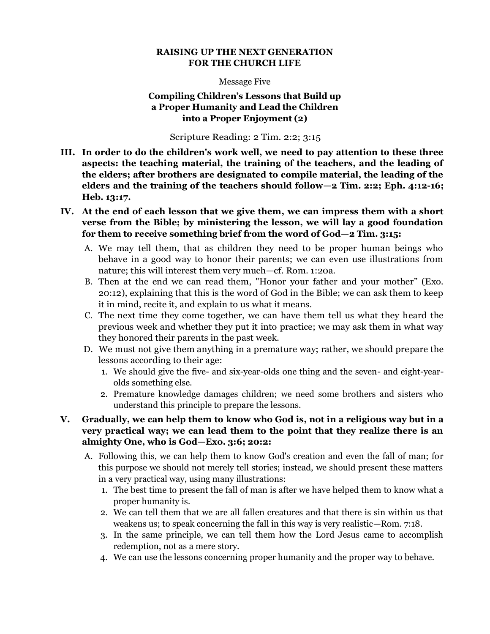#### **RAISING UP THE NEXT GENERATION FOR THE CHURCH LIFE**

#### Message Five

## **Compiling Children's Lessons that Build up a Proper Humanity and Lead the Children into a Proper Enjoyment (2)**

Scripture Reading: 2 Tim. 2:2; 3:15

- **III. In order to do the children's work well, we need to pay attention to these three aspects: the teaching material, the training of the teachers, and the leading of the elders; after brothers are designated to compile material, the leading of the elders and the training of the teachers should follow—2 Tim. 2:2; Eph. 4:12-16; Heb. 13:17.**
- **IV. At the end of each lesson that we give them, we can impress them with a short verse from the Bible; by ministering the lesson, we will lay a good foundation for them to receive something brief from the word of God—2 Tim. 3:15:**
	- A. We may tell them, that as children they need to be proper human beings who behave in a good way to honor their parents; we can even use illustrations from nature; this will interest them very much—cf. Rom. 1:20a.
	- B. Then at the end we can read them, "Honor your father and your mother" (Exo. 20:12), explaining that this is the word of God in the Bible; we can ask them to keep it in mind, recite it, and explain to us what it means.
	- C. The next time they come together, we can have them tell us what they heard the previous week and whether they put it into practice; we may ask them in what way they honored their parents in the past week.
	- D. We must not give them anything in a premature way; rather, we should prepare the lessons according to their age:
		- 1. We should give the five- and six-year-olds one thing and the seven- and eight-yearolds something else.
		- 2. Premature knowledge damages children; we need some brothers and sisters who understand this principle to prepare the lessons.

### **V. Gradually, we can help them to know who God is, not in a religious way but in a very practical way; we can lead them to the point that they realize there is an almighty One, who is God—Exo. 3:6; 20:2:**

- A. Following this, we can help them to know God's creation and even the fall of man; for this purpose we should not merely tell stories; instead, we should present these matters in a very practical way, using many illustrations:
	- 1. The best time to present the fall of man is after we have helped them to know what a proper humanity is.
	- 2. We can tell them that we are all fallen creatures and that there is sin within us that weakens us; to speak concerning the fall in this way is very realistic—Rom. 7:18.
	- 3. In the same principle, we can tell them how the Lord Jesus came to accomplish redemption, not as a mere story.
	- 4. We can use the lessons concerning proper humanity and the proper way to behave.